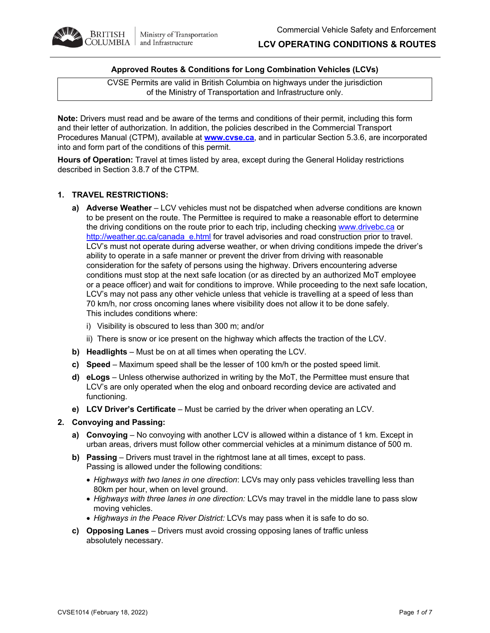

## **Approved Routes & Conditions for Long Combination Vehicles (LCVs)**

CVSE Permits are valid in British Columbia on highways under the jurisdiction of the Ministry of Transportation and Infrastructure only.

**Note:** Drivers must read and be aware of the terms and conditions of their permit, including this form and their letter of authorization. In addition, the policies described in the Commercial Transport Procedures Manual (CTPM), available at **www.cvse.ca**, and in particular Section 5.3.6, are incorporated into and form part of the conditions of this permit.

**Hours of Operation:** Travel at times listed by area, except during the General Holiday restrictions described in Section 3.8.7 of the CTPM.

## **1. TRAVEL RESTRICTIONS:**

- **a) Adverse Weather**  LCV vehicles must not be dispatched when adverse conditions are known to be present on the route. The Permittee is required to make a reasonable effort to determine the driving conditions on the route prior to each trip, including checking www.drivebc.ca or http://weather.gc.ca/canada\_e.html for travel advisories and road construction prior to travel. LCV's must not operate during adverse weather, or when driving conditions impede the driver's ability to operate in a safe manner or prevent the driver from driving with reasonable consideration for the safety of persons using the highway. Drivers encountering adverse conditions must stop at the next safe location (or as directed by an authorized MoT employee or a peace officer) and wait for conditions to improve. While proceeding to the next safe location, LCV's may not pass any other vehicle unless that vehicle is travelling at a speed of less than 70 km/h, nor cross oncoming lanes where visibility does not allow it to be done safely. This includes conditions where:
	- i) Visibility is obscured to less than 300 m; and/or
	- ii) There is snow or ice present on the highway which affects the traction of the LCV.
- **b) Headlights** Must be on at all times when operating the LCV.
- **c) Speed** Maximum speed shall be the lesser of 100 km/h or the posted speed limit.
- **d) eLogs** Unless otherwise authorized in writing by the MoT, the Permittee must ensure that LCV's are only operated when the elog and onboard recording device are activated and functioning.
- **e) LCV Driver's Certificate** Must be carried by the driver when operating an LCV.

## **2. Convoying and Passing:**

- **a) Convoying** No convoying with another LCV is allowed within a distance of 1 km. Except in urban areas, drivers must follow other commercial vehicles at a minimum distance of 500 m.
- **b) Passing** Drivers must travel in the rightmost lane at all times, except to pass. Passing is allowed under the following conditions:
	- *Highways with two lanes in one direction*: LCVs may only pass vehicles travelling less than 80km per hour, when on level ground.
	- *Highways with three lanes in one direction:* LCVs may travel in the middle lane to pass slow moving vehicles.
	- *Highways in the Peace River District:* LCVs may pass when it is safe to do so.
- **c) Opposing Lanes** Drivers must avoid crossing opposing lanes of traffic unless absolutely necessary.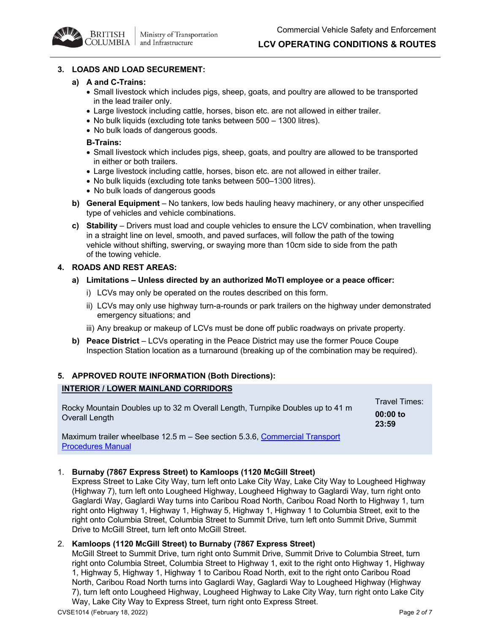## **3. LOADS AND LOAD SECUREMENT:**

## **a) A and C-Trains:**

**BRITISH** 

OLUMBIA |

- Small livestock which includes pigs, sheep, goats, and poultry are allowed to be transported in the lead trailer only.
- Large livestock including cattle, horses, bison etc. are not allowed in either trailer.
- No bulk liquids (excluding tote tanks between 500 1300 litres).

Ministry of Transportation

and Infrastructure

• No bulk loads of dangerous goods.

## **B-Trains:**

- Small livestock which includes pigs, sheep, goats, and poultry are allowed to be transported in either or both trailers.
- Large livestock including cattle, horses, bison etc. are not allowed in either trailer.
- No bulk liquids (excluding tote tanks between 500–1300 litres).
- No bulk loads of dangerous goods
- **b) General Equipment** No tankers, low beds hauling heavy machinery, or any other unspecified type of vehicles and vehicle combinations.
- **c) Stability**  Drivers must load and couple vehicles to ensure the LCV combination, when travelling in a straight line on level, smooth, and paved surfaces, will follow the path of the towing vehicle without shifting, swerving, or swaying more than 10cm side to side from the path of the towing vehicle.

## **4. ROADS AND REST AREAS:**

- **a) Limitations – Unless directed by an authorized MoTI employee or a peace officer:**
	- i) LCVs may only be operated on the routes described on this form.
	- ii) LCVs may only use highway turn-a-rounds or park trailers on the highway under demonstrated emergency situations; and
	- iii) Any breakup or makeup of LCVs must be done off public roadways on private property.
- **b) Peace District** LCVs operating in the Peace District may use the former Pouce Coupe Inspection Station location as a turnaround (breaking up of the combination may be required).

# **5. APPROVED ROUTE INFORMATION (Both Directions): INTERIOR / LOWER MAINLAND CORRIDORS**

Rocky Mountain Doubles up to 32 m Overall Length, Turnpike Doubles up to 41 m Overall Length

Travel Times: **00:00 to 23:59**

Maximum trailer wheelbase 12.5 m – See section 5.3.6, Commercial Transport Procedures Manual

## 1. **Burnaby (7867 Express Street) to Kamloops (1120 McGill Street)**

Express Street to Lake City Way, turn left onto Lake City Way, Lake City Way to Lougheed Highway (Highway 7), turn left onto Lougheed Highway, Lougheed Highway to Gaglardi Way, turn right onto Gaglardi Way, Gaglardi Way turns into Caribou Road North, Caribou Road North to Highway 1, turn right onto Highway 1, Highway 1, Highway 5, Highway 1, Highway 1 to Columbia Street, exit to the right onto Columbia Street, Columbia Street to Summit Drive, turn left onto Summit Drive, Summit Drive to McGill Street, turn left onto McGill Street.

## 2. **Kamloops (1120 McGill Street) to Burnaby (7867 Express Street)**

McGill Street to Summit Drive, turn right onto Summit Drive, Summit Drive to Columbia Street, turn right onto Columbia Street, Columbia Street to Highway 1, exit to the right onto Highway 1, Highway 1, Highway 5, Highway 1, Highway 1 to Caribou Road North, exit to the right onto Caribou Road North, Caribou Road North turns into Gaglardi Way, Gaglardi Way to Lougheed Highway (Highway 7), turn left onto Lougheed Highway, Lougheed Highway to Lake City Way, turn right onto Lake City Way, Lake City Way to Express Street, turn right onto Express Street.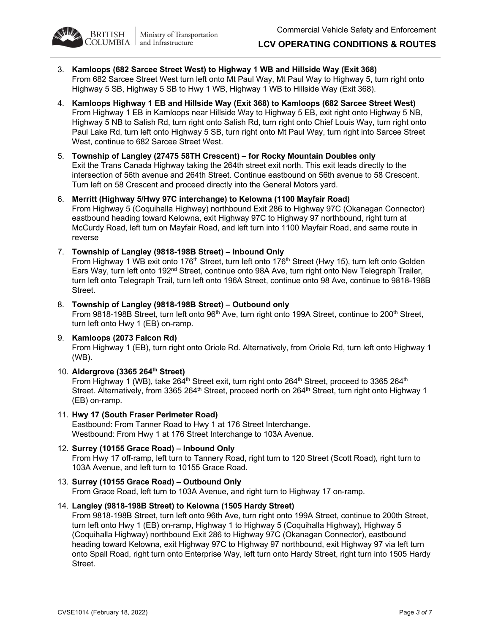



- 3. **Kamloops (682 Sarcee Street West) to Highway 1 WB and Hillside Way (Exit 368)** From 682 Sarcee Street West turn left onto Mt Paul Way, Mt Paul Way to Highway 5, turn right onto Highway 5 SB, Highway 5 SB to Hwy 1 WB, Highway 1 WB to Hillside Way (Exit 368).
- 4. **Kamloops Highway 1 EB and Hillside Way (Exit 368) to Kamloops (682 Sarcee Street West)** From Highway 1 EB in Kamloops near Hillside Way to Highway 5 EB, exit right onto Highway 5 NB, Highway 5 NB to Salish Rd, turn right onto Salish Rd, turn right onto Chief Louis Way, turn right onto Paul Lake Rd, turn left onto Highway 5 SB, turn right onto Mt Paul Way, turn right into Sarcee Street West, continue to 682 Sarcee Street West.
- 5. **Township of Langley (27475 58TH Crescent) – for Rocky Mountain Doubles only** Exit the Trans Canada Highway taking the 264th street exit north. This exit leads directly to the intersection of 56th avenue and 264th Street. Continue eastbound on 56th avenue to 58 Crescent. Turn left on 58 Crescent and proceed directly into the General Motors yard.
- 6. **Merritt (Highway 5/Hwy 97C interchange) to Kelowna (1100 Mayfair Road)** From Highway 5 (Coquihalla Highway) northbound Exit 286 to Highway 97C (Okanagan Connector) eastbound heading toward Kelowna, exit Highway 97C to Highway 97 northbound, right turn at McCurdy Road, left turn on Mayfair Road, and left turn into 1100 Mayfair Road, and same route in reverse
- 7. **Township of Langley (9818-198B Street) – Inbound Only**

From Highway 1 WB exit onto 176<sup>th</sup> Street, turn left onto 176<sup>th</sup> Street (Hwy 15), turn left onto Golden Ears Way, turn left onto 192<sup>nd</sup> Street, continue onto 98A Ave, turn right onto New Telegraph Trailer, turn left onto Telegraph Trail, turn left onto 196A Street, continue onto 98 Ave, continue to 9818-198B Street.

- 8. **Township of Langley (9818-198B Street) – Outbound only** From 9818-198B Street, turn left onto 96<sup>th</sup> Ave, turn right onto 199A Street, continue to 200<sup>th</sup> Street, turn left onto Hwy 1 (EB) on-ramp.
- 9. **Kamloops (2073 Falcon Rd)** From Highway 1 (EB), turn right onto Oriole Rd. Alternatively, from Oriole Rd, turn left onto Highway 1 (WB).
- 10. **Aldergrove (3365 264th Street)**

From Highway 1 (WB), take 264<sup>th</sup> Street exit, turn right onto 264<sup>th</sup> Street, proceed to 3365 264<sup>th</sup> Street. Alternatively, from 3365 264<sup>th</sup> Street, proceed north on 264<sup>th</sup> Street, turn right onto Highway 1 (EB) on-ramp.

- 11. **Hwy 17 (South Fraser Perimeter Road)** Eastbound: From Tanner Road to Hwy 1 at 176 Street Interchange. Westbound: From Hwy 1 at 176 Street Interchange to 103A Avenue.
- 12. **Surrey (10155 Grace Road) – Inbound Only** From Hwy 17 off-ramp, left turn to Tannery Road, right turn to 120 Street (Scott Road), right turn to 103A Avenue, and left turn to 10155 Grace Road.
- 13. **Surrey (10155 Grace Road) – Outbound Only** From Grace Road, left turn to 103A Avenue, and right turn to Highway 17 on-ramp.
- 14. **Langley (9818-198B Street) to Kelowna (1505 Hardy Street)**

From 9818-198B Street, turn left onto 96th Ave, turn right onto 199A Street, continue to 200th Street, turn left onto Hwy 1 (EB) on-ramp, Highway 1 to Highway 5 (Coquihalla Highway), Highway 5 (Coquihalla Highway) northbound Exit 286 to Highway 97C (Okanagan Connector), eastbound heading toward Kelowna, exit Highway 97C to Highway 97 northbound, exit Highway 97 via left turn onto Spall Road, right turn onto Enterprise Way, left turn onto Hardy Street, right turn into 1505 Hardy Street.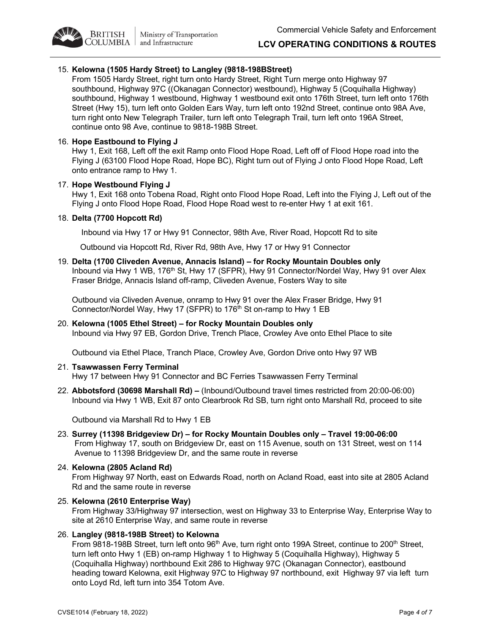

## 15. **Kelowna (1505 Hardy Street) to Langley (9818-198BStreet)**

From 1505 Hardy Street, right turn onto Hardy Street, Right Turn merge onto Highway 97 southbound, Highway 97C ((Okanagan Connector) westbound), Highway 5 (Coquihalla Highway) southbound, Highway 1 westbound, Highway 1 westbound exit onto 176th Street, turn left onto 176th Street (Hwy 15), turn left onto Golden Ears Way, turn left onto 192nd Street, continue onto 98A Ave, turn right onto New Telegraph Trailer, turn left onto Telegraph Trail, turn left onto 196A Street, continue onto 98 Ave, continue to 9818-198B Street.

## 16. **Hope Eastbound to Flying J**

**BRITISH** 

Hwy 1, Exit 168, Left off the exit Ramp onto Flood Hope Road, Left off of Flood Hope road into the Flying J (63100 Flood Hope Road, Hope BC), Right turn out of Flying J onto Flood Hope Road, Left onto entrance ramp to Hwy 1.

## 17. **Hope Westbound Flying J**

Hwy 1, Exit 168 onto Tobena Road, Right onto Flood Hope Road, Left into the Flying J, Left out of the Flying J onto Flood Hope Road, Flood Hope Road west to re-enter Hwy 1 at exit 161.

## 18. **Delta (7700 Hopcott Rd)**

Inbound via Hwy 17 or Hwy 91 Connector, 98th Ave, River Road, Hopcott Rd to site

Outbound via Hopcott Rd, River Rd, 98th Ave, Hwy 17 or Hwy 91 Connector

19. **Delta (1700 Cliveden Avenue, Annacis Island) – for Rocky Mountain Doubles only** Inbound via Hwy 1 WB, 176<sup>th</sup> St, Hwy 17 (SFPR), Hwy 91 Connector/Nordel Way, Hwy 91 over Alex Fraser Bridge, Annacis Island off-ramp, Cliveden Avenue, Fosters Way to site

Outbound via Cliveden Avenue, onramp to Hwy 91 over the Alex Fraser Bridge, Hwy 91 Connector/Nordel Way, Hwy 17 (SFPR) to 176<sup>th</sup> St on-ramp to Hwy 1 EB

20. **Kelowna (1005 Ethel Street) – for Rocky Mountain Doubles only** Inbound via Hwy 97 EB, Gordon Drive, Trench Place, Crowley Ave onto Ethel Place to site

Outbound via Ethel Place, Tranch Place, Crowley Ave, Gordon Drive onto Hwy 97 WB

## 21. **Tsawwassen Ferry Terminal**

Hwy 17 between Hwy 91 Connector and BC Ferries Tsawwassen Ferry Terminal

22. **Abbotsford (30698 Marshall Rd) –** (Inbound/Outbound travel times restricted from 20:00-06:00) Inbound via Hwy 1 WB, Exit 87 onto Clearbrook Rd SB, turn right onto Marshall Rd, proceed to site

Outbound via Marshall Rd to Hwy 1 EB

23. **Surrey (11398 Bridgeview Dr) – for Rocky Mountain Doubles only – Travel 19:00-06:00** From Highway 17, south on Bridgeview Dr, east on 115 Avenue, south on 131 Street, west on 114 Avenue to 11398 Bridgeview Dr, and the same route in reverse

## 24. **Kelowna (2805 Acland Rd)**

From Highway 97 North, east on Edwards Road, north on Acland Road, east into site at 2805 Acland Rd and the same route in reverse

## 25. **Kelowna (2610 Enterprise Way)**

From Highway 33/Highway 97 intersection, west on Highway 33 to Enterprise Way, Enterprise Way to site at 2610 Enterprise Way, and same route in reverse

## 26. **Langley (9818-198B Street) to Kelowna**

From 9818-198B Street, turn left onto 96<sup>th</sup> Ave, turn right onto 199A Street, continue to 200<sup>th</sup> Street, turn left onto Hwy 1 (EB) on-ramp Highway 1 to Highway 5 (Coquihalla Highway), Highway 5 (Coquihalla Highway) northbound Exit 286 to Highway 97C (Okanagan Connector), eastbound heading toward Kelowna, exit Highway 97C to Highway 97 northbound, exit Highway 97 via left turn onto Loyd Rd, left turn into 354 Totom Ave.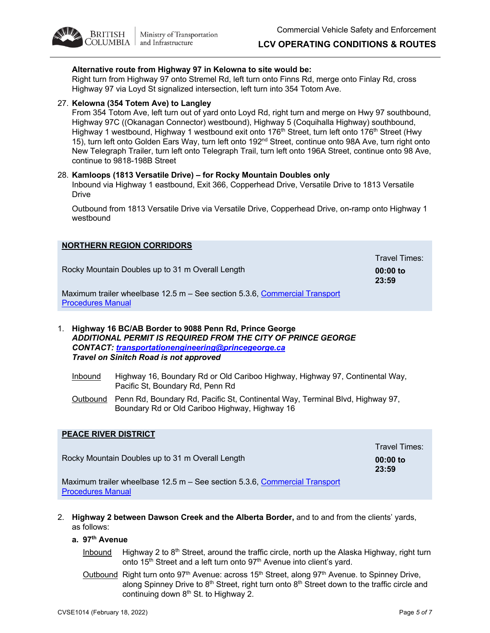## **Alternative route from Highway 97 in Kelowna to site would be:**

Right turn from Highway 97 onto Stremel Rd, left turn onto Finns Rd, merge onto Finlay Rd, cross Highway 97 via Loyd St signalized intersection, left turn into 354 Totom Ave.

## 27. **Kelowna (354 Totem Ave) to Langley**

**BRITISH** 

From 354 Totom Ave, left turn out of yard onto Loyd Rd, right turn and merge on Hwy 97 southbound, Highway 97C ((Okanagan Connector) westbound), Highway 5 (Coquihalla Highway) southbound, Highway 1 westbound, Highway 1 westbound exit onto 176<sup>th</sup> Street, turn left onto 176<sup>th</sup> Street (Hwy 15), turn left onto Golden Ears Way, turn left onto 192<sup>nd</sup> Street, continue onto 98A Ave, turn right onto New Telegraph Trailer, turn left onto Telegraph Trail, turn left onto 196A Street, continue onto 98 Ave, continue to 9818-198B Street

#### 28. **Kamloops (1813 Versatile Drive) – for Rocky Mountain Doubles only**

Inbound via Highway 1 eastbound, Exit 366, Copperhead Drive, Versatile Drive to 1813 Versatile Drive

Outbound from 1813 Versatile Drive via Versatile Drive, Copperhead Drive, on-ramp onto Highway 1 westbound

| <b>NORTHERN REGION CORRIDORS</b>                                                                       |                                      |
|--------------------------------------------------------------------------------------------------------|--------------------------------------|
| Rocky Mountain Doubles up to 31 m Overall Length                                                       | Travel Times:<br>$00:00$ to<br>23:59 |
| Maximum trailer wheelbase 12.5 m – See section 5.3.6, Commercial Transport<br><b>Procedures Manual</b> |                                      |
|                                                                                                        |                                      |

1. **Highway 16 BC/AB Border to 9088 Penn Rd, Prince George** *ADDITIONAL PERMIT IS REQUIRED FROM THE CITY OF PRINCE GEORGE CONTACT: transportationengineering@princegeorge.ca Travel on Sinitch Road is not approved*

- Inbound Highway 16, Boundary Rd or Old Cariboo Highway, Highway 97, Continental Way, Pacific St, Boundary Rd, Penn Rd
- Outbound Penn Rd, Boundary Rd, Pacific St, Continental Way, Terminal Blvd, Highway 97, Boundary Rd or Old Cariboo Highway, Highway 16

## **PEACE RIVER DISTRICT** Rocky Mountain Doubles up to 31 m Overall Length Travel Times: **00:00 to 23:59** Maximum trailer wheelbase 12.5 m – See section 5.3.6, Commercial Transport Procedures Manual

2. **Highway 2 between Dawson Creek and the Alberta Border,** and to and from the clients' yards, as follows:

## **a. 97th Avenue**

- Inbound Highway 2 to  $8<sup>th</sup>$  Street, around the traffic circle, north up the Alaska Highway, right turn onto 15<sup>th</sup> Street and a left turn onto 97<sup>th</sup> Avenue into client's yard.
- Outbound Right turn onto 97<sup>th</sup> Avenue: across 15<sup>th</sup> Street, along 97<sup>th</sup> Avenue. to Spinney Drive, along Spinney Drive to 8<sup>th</sup> Street, right turn onto 8<sup>th</sup> Street down to the traffic circle and continuing down  $8<sup>th</sup>$  St. to Highway 2.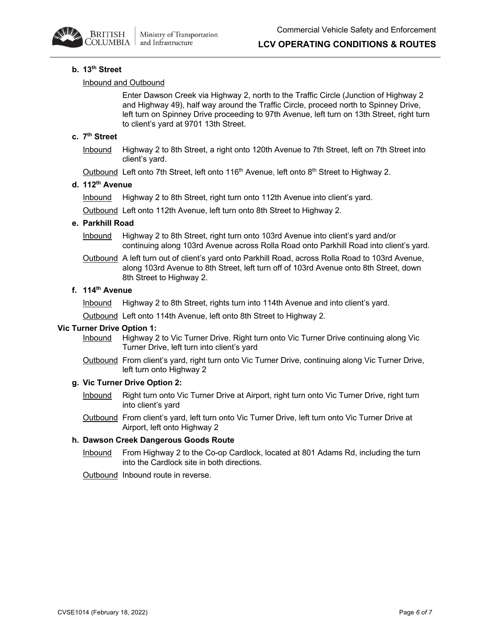

## **LCV OPERATING CONDITIONS & ROUTES**

#### **b. 13th Street**

#### Inbound and Outbound

Enter Dawson Creek via Highway 2, north to the Traffic Circle (Junction of Highway 2 and Highway 49), half way around the Traffic Circle, proceed north to Spinney Drive, left turn on Spinney Drive proceeding to 97th Avenue, left turn on 13th Street, right turn to client's yard at 9701 13th Street.

# **c. 7th Street**

Inbound Highway 2 to 8th Street, a right onto 120th Avenue to 7th Street, left on 7th Street into client's yard.

Outbound Left onto 7th Street, left onto 116<sup>th</sup> Avenue, left onto 8<sup>th</sup> Street to Highway 2.

## **d. 112th Avenue**

Inbound Highway 2 to 8th Street, right turn onto 112th Avenue into client's yard.

Outbound Left onto 112th Avenue, left turn onto 8th Street to Highway 2.

#### **e. Parkhill Road**

Inbound Highway 2 to 8th Street, right turn onto 103rd Avenue into client's yard and/or continuing along 103rd Avenue across Rolla Road onto Parkhill Road into client's yard.

Outbound A left turn out of client's yard onto Parkhill Road, across Rolla Road to 103rd Avenue, along 103rd Avenue to 8th Street, left turn off of 103rd Avenue onto 8th Street, down 8th Street to Highway 2.

# **f. 114th Avenue**

Inbound Highway 2 to 8th Street, rights turn into 114th Avenue and into client's yard.

Outbound Left onto 114th Avenue, left onto 8th Street to Highway 2.

#### **Vic Turner Drive Option 1:**

- Inbound Highway 2 to Vic Turner Drive. Right turn onto Vic Turner Drive continuing along Vic Turner Drive, left turn into client's yard
- Outbound From client's yard, right turn onto Vic Turner Drive, continuing along Vic Turner Drive, left turn onto Highway 2

## **g. Vic Turner Drive Option 2:**

- Inbound Right turn onto Vic Turner Drive at Airport, right turn onto Vic Turner Drive, right turn into client's yard
- Outbound From client's yard, left turn onto Vic Turner Drive, left turn onto Vic Turner Drive at Airport, left onto Highway 2

## **h. Dawson Creek Dangerous Goods Route**

Inbound From Highway 2 to the Co-op Cardlock, located at 801 Adams Rd, including the turn into the Cardlock site in both directions.

Outbound Inbound route in reverse.